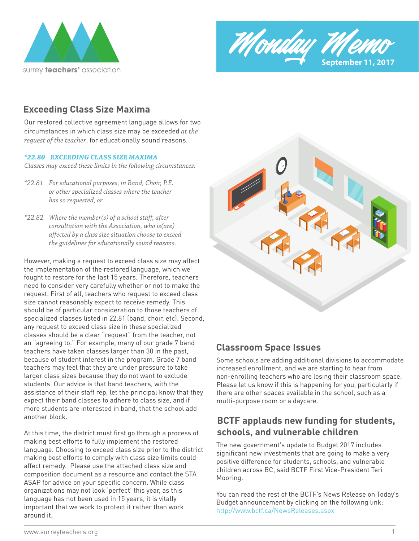



## **Exceeding Class Size Maxima**

Our restored collective agreement language allows for two circumstances in which class size may be exceeded *at the request of the teacher*, for educationally sound reasons.

#### *\*22.80 EXCEEDING CLASS SIZE MAXIMA*

*Classes may exceed these limits in the following circumstances:*

- *\*22.81 For educational purposes, in Band, Choir, P.E. or other specialized classes where the teacher has so requested, or*
- \*22.82 Where the member(s) of a school staff, after  *consultation with the Association, who is(are)*  affected by a class size situation choose to exceed  *the guidelines for educationally sound reasons.*

However, making a request to exceed class size may affect the implementation of the restored language, which we fought to restore for the last 15 years. Therefore, teachers need to consider very carefully whether or not to make the request. First of all, teachers who request to exceed class size cannot reasonably expect to receive remedy. This should be of particular consideration to those teachers of specialized classes listed in 22.81 (band, choir, etc). Second, any request to exceed class size in these specialized classes should be a clear "request" from the teacher, not an "agreeing to." For example, many of our grade 7 band teachers have taken classes larger than 30 in the past, because of student interest in the program. Grade 7 band teachers may feel that they are under pressure to take larger class sizes because they do not want to exclude students. Our advice is that band teachers, with the assistance of their staff rep, let the principal know that they expect their band classes to adhere to class size, and if more students are interested in band, that the school add another block.

At this time, the district must first go through a process of making best efforts to fully implement the restored language. Choosing to exceed class size prior to the district making best efforts to comply with class size limits could affect remedy. Please use the attached class size and composition document as a resource and contact the STA ASAP for advice on your specific concern. While class organizations may not look 'perfect' this year, as this language has not been used in 15 years, it is vitally important that we work to protect it rather than work around it.



#### **Classroom Space Issues**

Some schools are adding additional divisions to accommodate increased enrollment, and we are starting to hear from non-enrolling teachers who are losing their classroom space. Please let us know if this is happening for you, particularly if there are other spaces available in the school, such as a multi-purpose room or a daycare.

## **BCTF applauds new funding for students, schools, and vulnerable children**

The new government's update to Budget 2017 includes significant new investments that are going to make a very positive difference for students, schools, and vulnerable children across BC, said BCTF First Vice-President Teri Mooring.

You can read the rest of the BCTF's News Release on Today's Budget announcement by clicking on the following link: http://www.bctf.ca/NewsReleases.aspx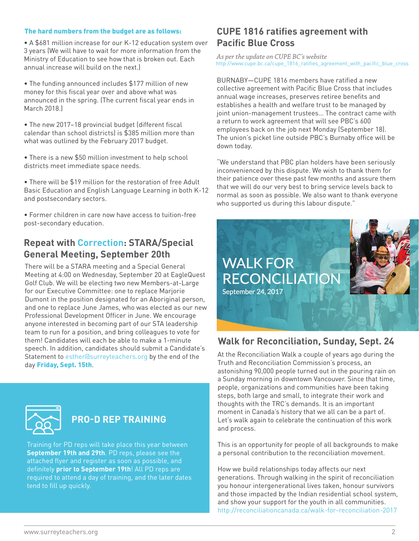#### The hard numbers from the budget are as follows:

• A \$681 million increase for our K-12 education system over **Pacific Blue Cross** 3 years (We will have to wait for more information from the Ministry of Education to see how that is broken out. Each annual increase will build on the next.)

• The funding announced includes \$177 million of new money for this fiscal year over and above what was announced in the spring. (The current fiscal year ends in March 2018.)

• The new 2017–18 provincial budget (different fiscal calendar than school districts) is \$385 million more than what was outlined by the February 2017 budget.

• There is a new \$50 million investment to help school districts meet immediate space needs.

• There will be \$19 million for the restoration of free Adult Basic Education and English Language Learning in both K-12 and postsecondary sectors.

• Former children in care now have access to tuition-free post-secondary education.

#### **Repeat with Correction: STARA/Special General Meeting, September 20th**

There will be a STARA meeting and a Special General Meeting at 4:00 on Wednesday, September 20 at EagleQuest Golf Club. We will be electing two new Members-at-Large for our Executive Committee: one to replace Marjorie Dumont in the position designated for an Aboriginal person, and one to replace June James, who was elected as our new Professional Development Officer in June. We encourage anyone interested in becoming part of our STA leadership team to run for a position, and bring colleagues to vote for them! Candidates will each be able to make a 1-minute speech. In addition, candidates should submit a Candidate's Statement to esther@surreyteachers.org by the end of the day Friday, Sept. 15th.



# **PRO-D REP TRAINING**

Training for PD reps will take place this year between **September 19th and 29th**. PD reps, please see the attached flyer and register as soon as possible, and definitely **prior to September 19th**! All PD reps are required to attend a day of training, and the later dates tend to fill up quickly.

# **CUPE 1816 ratifies agreement with**

*As per the update on CUPE BC's website*  http://www.cupe.bc.ca/cupe\_1816\_ratifies\_agreement\_with\_pacific\_blue\_cross

BURNABY—CUPE 1816 members have ratified a new collective agreement with Pacific Blue Cross that includes annual wage increases, preserves retiree benefits and establishes a health and welfare trust to be managed by joint union-management trustees… The contract came with a return to work agreement that will see PBC's 600 employees back on the job next Monday (September 18). The union's picket line outside PBC's Burnaby office will be down today.

"We understand that PBC plan holders have been seriously inconvenienced by this dispute. We wish to thank them for their patience over these past few months and assure them that we will do our very best to bring service levels back to normal as soon as possible. We also want to thank everyone who supported us during this labour dispute."



#### **Walk for Reconciliation, Sunday, Sept. 24**

At the Reconciliation Walk a couple of years ago during the Truth and Reconciliation Commission's process, an astonishing 90,000 people turned out in the pouring rain on a Sunday morning in downtown Vancouver. Since that time, people, organizations and communities have been taking steps, both large and small, to integrate their work and thoughts with the TRC's demands. It is an important moment in Canada's history that we all can be a part of. Let's walk again to celebrate the continuation of this work and process.

This is an opportunity for people of all backgrounds to make a personal contribution to the reconciliation movement.

How we build relationships today affects our next generations. Through walking in the spirit of reconciliation you honour intergenerational lives taken, honour survivors and those impacted by the Indian residential school system, and show your support for the youth in all communities. http://reconciliationcanada.ca/walk-for-reconciliation-2017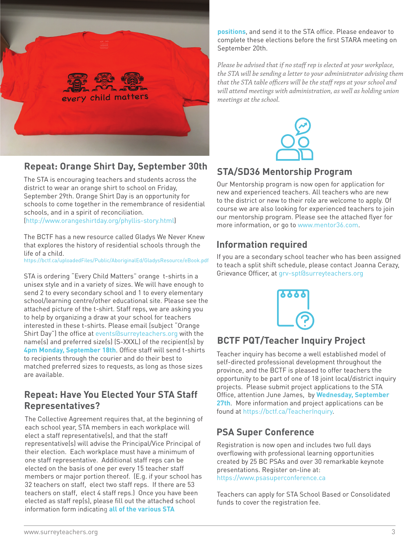

#### **Repeat: Orange Shirt Day, September 30th**

The STA is encouraging teachers and students across the district to wear an orange shirt to school on Friday, September 29th. Orange Shirt Day is an opportunity for schools to come together in the remembrance of residential schools, and in a spirit of reconciliation. (http://www.orangeshirtday.org/phyllis-story.html)

The BCTF has a new resource called Gladys We Never Knew that explores the history of residential schools through the life of a child.

https://bctf.ca/uploadedFiles/Public/AboriginalEd/GladysResource/eBook.pdf

STA is ordering "Every Child Matters" orange t-shirts in a unisex style and in a variety of sizes. We will have enough to send 2 to every secondary school and 1 to every elementary school/learning centre/other educational site. Please see the attached picture of the t-shirt. Staff reps, we are asking you to help by organizing a draw at your school for teachers interested in these t-shirts. Please email (subject "Orange Shirt Day") the office at events@surreyteachers.org with the name(s) and preferred size(s) (S-XXXL) of the recipient(s) by **4pm Monday, September 18th**. Office staff will send t-shirts to recipients through the courier and do their best to matched preferred sizes to requests, as long as those sizes are available.

#### **Repeat: Have You Elected Your STA Staff Representatives?**

The Collective Agreement requires that, at the beginning of each school year, STA members in each workplace will elect a staff representative(s), and that the staff representative(s) will advise the Principal/Vice Principal of their election. Each workplace must have a minimum of one staff representative. Additional staff reps can be elected on the basis of one per every 15 teacher staff members or major portion thereof. (E.g. if your school has 32 teachers on staff, elect two staff reps. If there are 53 teachers on staff, elect 4 staff reps.) Once you have been elected as staff rep(s), please fill out the attached school information form indicating **all of the various STA** 

**positions**, and send it to the STA office. Please endeavor to complete these elections before the first STARA meeting on September 20th.

Please be advised that if no staff rep is elected at your workplace, *the STA will be sending a letter to your administrator advising them*  that the STA table officers will be the staff reps at your school and *will attend meetings with administration, as well as holding union meetings at the school.*



### **STA/SD36 Mentorship Program**

Our Mentorship program is now open for application for new and experienced teachers. All teachers who are new to the district or new to their role are welcome to apply. Of course we are also looking for experienced teachers to join our mentorship program. Please see the attached flyer for more information, or go to www.mentor36.com.

### **Information required**

If you are a secondary school teacher who has been assigned to teach a split shift schedule, please contact Joanna Cerazy, Grievance Officer, at grv-spt@surreyteachers.org



# **BCTF PQT/Teacher Inquiry Project**

Teacher inquiry has become a well established model of self-directed professional development throughout the province, and the BCTF is pleased to offer teachers the opportunity to be part of one of 18 joint local/district inquiry projects. Please submit project applications to the STA Office, attention June James, by **Wednesday, September 27th**. More information and project applications can be found at https://bctf.ca/TeacherInquiry.

#### **PSA Super Conference**

Registration is now open and includes two full days overflowing with professional learning opportunities created by 25 BC PSAs and over 30 remarkable keynote presentations. Register on-line at: https://www.psasuperconference.ca

Teachers can apply for STA School Based or Consolidated funds to cover the registration fee.